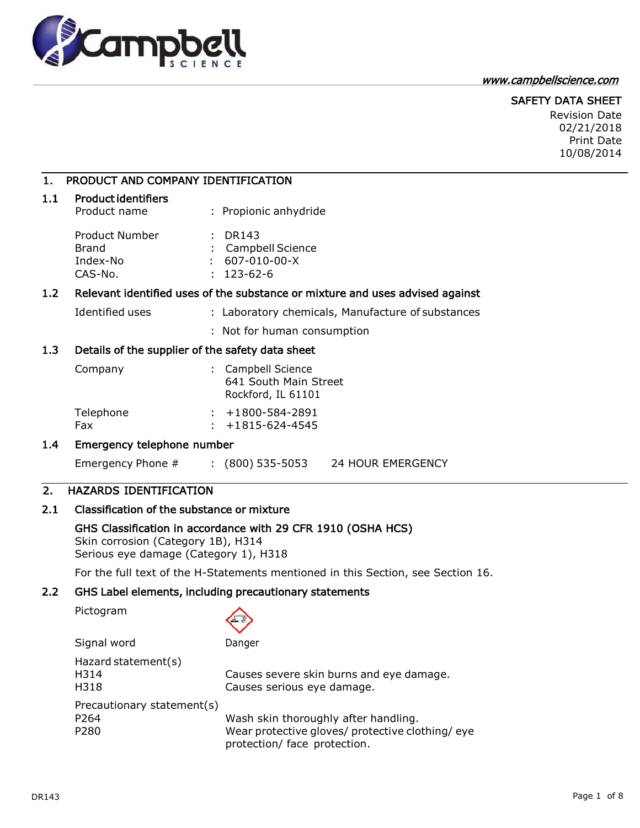

#### www.campbellscience.com

# SAFETY DATA SHEET

Revision Date 02/21/2018 Print Date 10/08/2014

# 1. PRODUCT AND COMPANY IDENTIFICATION

### 1.1 Product identifiers

| Product name                   | : Propionic anhydride                    |
|--------------------------------|------------------------------------------|
| Product Number<br><b>Brand</b> | $\therefore$ DR143<br>: Campbell Science |
| Index-No                       | $: 607-010-00-X$                         |
| CAS-No.                        | $: 123 - 62 - 6$                         |

# 1.2 Relevant identified uses of the substance or mixture and uses advised against

Identified uses : Laboratory chemicals, Manufacture of substances

: Not for human consumption

### 1.3 Details of the supplier of the safety data sheet

| Company          | : Campbell Science<br>641 South Main Street<br>Rockford, IL 61101 |
|------------------|-------------------------------------------------------------------|
| Telephone<br>Fax | $: +1800 - 584 - 2891$<br>$: +1815 - 624 - 4545$                  |

### 1.4 Emergency telephone number

Emergency Phone # : (800) 535-5053 24 HOUR EMERGENCY

# 2. HAZARDS IDENTIFICATION

# 2.1 Classification of the substance or mixture

# GHS Classification in accordance with 29 CFR 1910 (OSHA HCS)

Skin corrosion (Category 1B), H314 Serious eye damage (Category 1), H318

For the full text of the H-Statements mentioned in this Section, see Section 16.

# 2.2 GHS Label elements, including precautionary statements

Pictogram

|--|

Signal word Danger Hazard statement(s) H314 Causes severe skin burns and eye damage. H318 Causes serious eye damage. Precautionary statement(s) P264 Wash skin thoroughly after handling. P280 Wear protective gloves/ protective clothing/ eye protection/ face protection.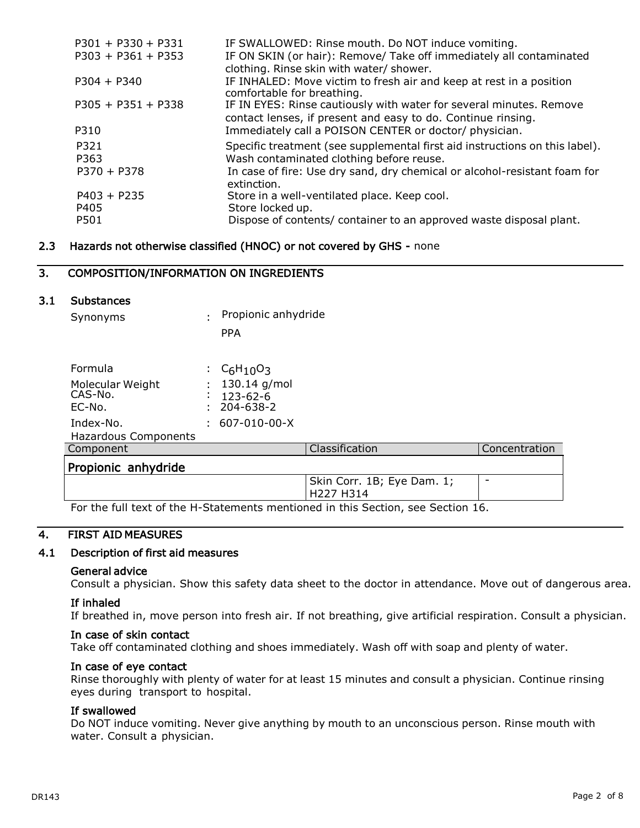| $P301 + P330 + P331$ | IF SWALLOWED: Rinse mouth. Do NOT induce vomiting.                                                                                  |
|----------------------|-------------------------------------------------------------------------------------------------------------------------------------|
| $P303 + P361 + P353$ | IF ON SKIN (or hair): Remove/ Take off immediately all contaminated<br>clothing. Rinse skin with water/ shower.                     |
| $P304 + P340$        | IF INHALED: Move victim to fresh air and keep at rest in a position<br>comfortable for breathing.                                   |
| $P305 + P351 + P338$ | IF IN EYES: Rinse cautiously with water for several minutes. Remove<br>contact lenses, if present and easy to do. Continue rinsing. |
| P310                 | Immediately call a POISON CENTER or doctor/ physician.                                                                              |
| P321                 | Specific treatment (see supplemental first aid instructions on this label).                                                         |
| P363                 | Wash contaminated clothing before reuse.                                                                                            |
| $P370 + P378$        | In case of fire: Use dry sand, dry chemical or alcohol-resistant foam for<br>extinction.                                            |
| $P403 + P235$        | Store in a well-ventilated place. Keep cool.                                                                                        |
| P405                 | Store locked up.                                                                                                                    |
| P501                 | Dispose of contents/ container to an approved waste disposal plant.                                                                 |

### 2.3 Hazards not otherwise classified (HNOC) or not covered by GHS - none

# 3. COMPOSITION/INFORMATION ON INGREDIENTS

### 3.1 Substances

| Synonyms             |   | Propionic anhydride                             |                |               |
|----------------------|---|-------------------------------------------------|----------------|---------------|
|                      |   | <b>PPA</b>                                      |                |               |
|                      |   |                                                 |                |               |
| Formula              |   | : C <sub>6</sub> H <sub>10</sub> O <sub>3</sub> |                |               |
| Molecular Weight     | ٠ | 130.14 g/mol                                    |                |               |
| CAS-No.              | ٠ | $123 - 62 - 6$                                  |                |               |
| EC-No.               |   | 204-638-2                                       |                |               |
| Index-No.            |   | 607-010-00-X                                    |                |               |
| Hazardous Components |   |                                                 |                |               |
| Component            |   |                                                 | Classification | Concentration |
| Propionic anhydride  |   |                                                 |                |               |

For the full text of the H-Statements mentioned in this Section, see Section 16.

# 4. FIRST AID MEASURES

# 4.1 Description of first aid measures

### General advice

Consult a physician. Show this safety data sheet to the doctor in attendance. Move out of dangerous area.

H227 H314

Skin Corr. 1B; Eye Dam. 1;

-

### If inhaled

If breathed in, move person into fresh air. If not breathing, give artificial respiration. Consult a physician.

### In case of skin contact

Take off contaminated clothing and shoes immediately. Wash off with soap and plenty of water.

### In case of eye contact

Rinse thoroughly with plenty of water for at least 15 minutes and consult a physician. Continue rinsing eyes during transport to hospital.

# If swallowed

Do NOT induce vomiting. Never give anything by mouth to an unconscious person. Rinse mouth with water. Consult a physician.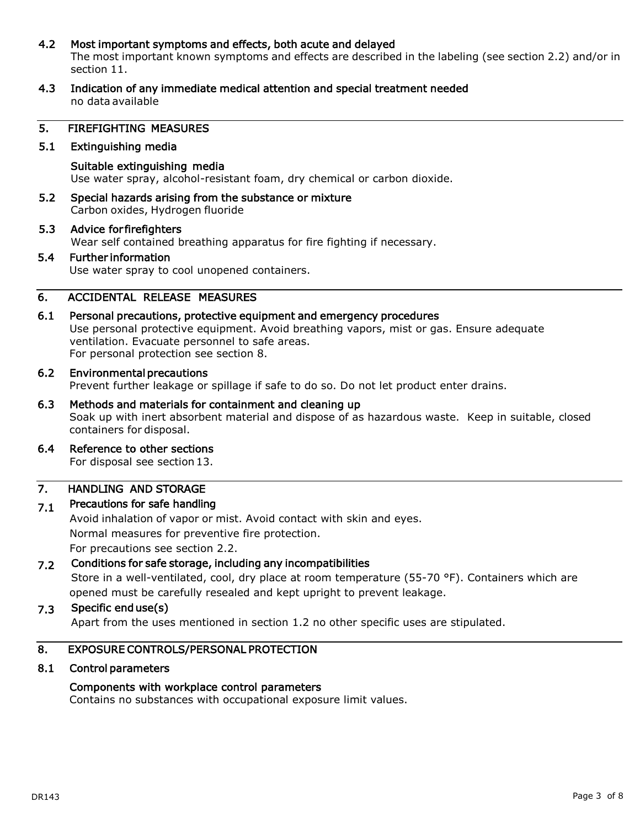# 4.2 Most important symptoms and effects, both acute and delayed

The most important known symptoms and effects are described in the labeling (see section 2.2) and/or in section 11.

4.3 Indication of any immediate medical attention and special treatment needed no data available

### 5. FIREFIGHTING MEASURES

### 5.1 Extinguishing media

Suitable extinguishing media Use water spray, alcohol-resistant foam, dry chemical or carbon dioxide.

5.2 Special hazards arising from the substance or mixture Carbon oxides, Hydrogen fluoride

### 5.3 Advice for firefighters

Wear self contained breathing apparatus for fire fighting if necessary.

### 5.4 Further information

Use water spray to cool unopened containers.

# 6. ACCIDENTAL RELEASE MEASURES

# 6.1 Personal precautions, protective equipment and emergency procedures

Use personal protective equipment. Avoid breathing vapors, mist or gas. Ensure adequate ventilation. Evacuate personnel to safe areas. For personal protection see section 8.

### 6.2 Environmental precautions

Prevent further leakage or spillage if safe to do so. Do not let product enter drains.

# 6.3 Methods and materials for containment and cleaning up Soak up with inert absorbent material and dispose of as hazardous waste. Keep in suitable, closed containers for disposal.

6.4 Reference to other sections

For disposal see section 13.

#### 7. HANDLING AND STORAGE

#### 7.1 Precautions for safe handling

Avoid inhalation of vapor or mist. Avoid contact with skin and eyes. Normal measures for preventive fire protection. For precautions see section 2.2.

#### 7.2 Conditions for safe storage, including any incompatibilities

Store in a well-ventilated, cool, dry place at room temperature (55-70 °F). Containers which are opened must be carefully resealed and kept upright to prevent leakage.

#### 7.3 Specific end use(s)

Apart from the uses mentioned in section 1.2 no other specific uses are stipulated.

# 8. EXPOSURE CONTROLS/PERSONAL PROTECTION

### 8.1 Control parameters

### Components with workplace control parameters

Contains no substances with occupational exposure limit values.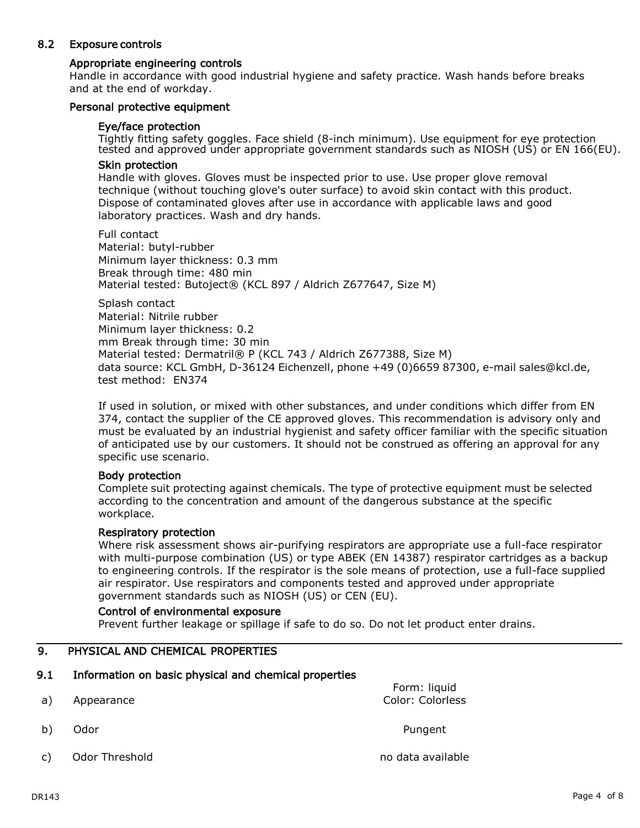# 8.2 Exposure controls

# Appropriate engineering controls

Handle in accordance with good industrial hygiene and safety practice. Wash hands before breaks and at the end of workday.

### Personal protective equipment

### Eye/face protection

Tightly fitting safety goggles. Face shield (8-inch minimum). Use equipment for eye protection tested and approved under appropriate government standards such as NIOSH (US) or EN 166(EU).

# Skin protection

Handle with gloves. Gloves must be inspected prior to use. Use proper glove removal technique (without touching glove's outer surface) to avoid skin contact with this product. Dispose of contaminated gloves after use in accordance with applicable laws and good laboratory practices. Wash and dry hands.

Full contact Material: butyl-rubber Minimum layer thickness: 0.3 mm Break through time: 480 min Material tested: Butoject® (KCL 897 / Aldrich Z677647, Size M)

Splash contact Material: Nitrile rubber Minimum layer thickness: 0.2 mm Break through time: 30 min Material tested: Dermatril® P (KCL 743 / Aldrich Z677388, Size M) data source: KCL GmbH, D-36124 Eichenzell, phone +49 (0)6659 87300, e-mail sales@kcl.de, test method: EN374

If used in solution, or mixed with other substances, and under conditions which differ from EN 374, contact the supplier of the CE approved gloves. This recommendation is advisory only and must be evaluated by an industrial hygienist and safety officer familiar with the specific situation of anticipated use by our customers. It should not be construed as offering an approval for any specific use scenario.

### Body protection

Complete suit protecting against chemicals. The type of protective equipment must be selected according to the concentration and amount of the dangerous substance at the specific workplace.

### Respiratory protection

Where risk assessment shows air-purifying respirators are appropriate use a full-face respirator with multi-purpose combination (US) or type ABEK (EN 14387) respirator cartridges as a backup to engineering controls. If the respirator is the sole means of protection, use a full-face supplied air respirator. Use respirators and components tested and approved under appropriate government standards such as NIOSH (US) or CEN (EU).

### Control of environmental exposure

Prevent further leakage or spillage if safe to do so. Do not let product enter drains.

# 9. PHYSICAL AND CHEMICAL PROPERTIES

# 9.1 Information on basic physical and chemical properties

a) Appearance

Color: Colorless

Form: liquid

- b) Odor Pungent
- c) Odor Threshold contract no data available no data available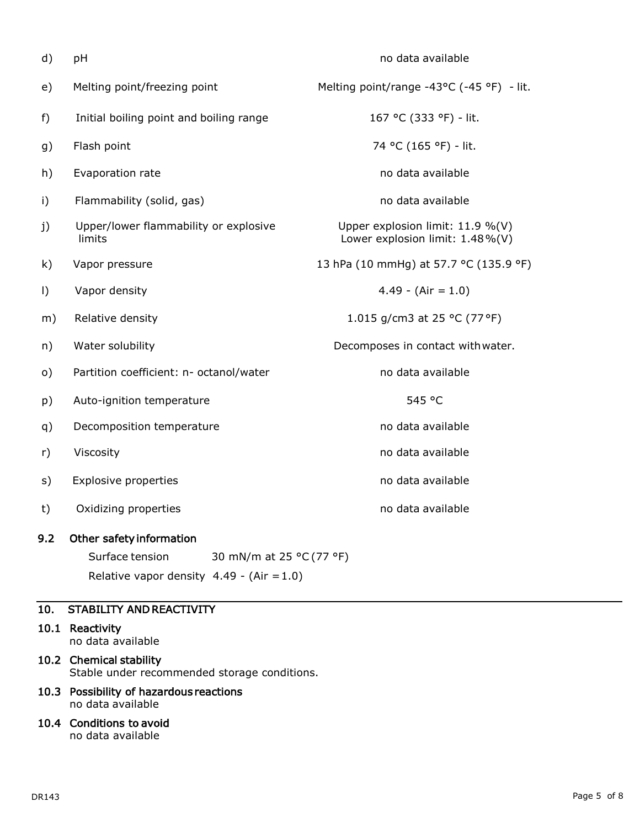| d)       | pH                                                                      | no data available                                                   |
|----------|-------------------------------------------------------------------------|---------------------------------------------------------------------|
| e)       | Melting point/freezing point                                            | Melting point/range -43°C (-45 °F) - lit.                           |
| f)       | Initial boiling point and boiling range                                 | 167 °C (333 °F) - lit.                                              |
| g)       | Flash point                                                             | 74 °C (165 °F) - lit.                                               |
| h)       | Evaporation rate                                                        | no data available                                                   |
| i)       | Flammability (solid, gas)                                               | no data available                                                   |
| j)       | Upper/lower flammability or explosive<br>limits                         | Upper explosion limit: 11.9 %(V)<br>Lower explosion limit: 1.48%(V) |
| k)       | Vapor pressure                                                          | 13 hPa (10 mmHg) at 57.7 °C (135.9 °F)                              |
| $\vert$  | Vapor density                                                           | $4.49 - (Air = 1.0)$                                                |
| m)       | Relative density                                                        | 1.015 g/cm3 at 25 °C (77 °F)                                        |
| n)       | Water solubility                                                        | Decomposes in contact with water.                                   |
| $\circ)$ | Partition coefficient: n- octanol/water                                 | no data available                                                   |
| p)       | Auto-ignition temperature                                               | 545 °C                                                              |
| q)       | Decomposition temperature                                               | no data available                                                   |
| r)       | Viscosity                                                               | no data available                                                   |
| s)       | <b>Explosive properties</b>                                             | no data available                                                   |
| t)       | Oxidizing properties                                                    | no data available                                                   |
| 9.2      | Other safety information<br>Surface tension<br>30 mN/m at 25 °C (77 °F) |                                                                     |
|          | Relative vapor density $4.49 - (Air = 1.0)$                             |                                                                     |

# 10. STABILITY AND REACTIVITY

- 10.1 Reactivity no data available
- 10.2 Chemical stability Stable under recommended storage conditions.
- 10.3 Possibility of hazardous reactions no data available
- 10.4 Conditions to avoid no data available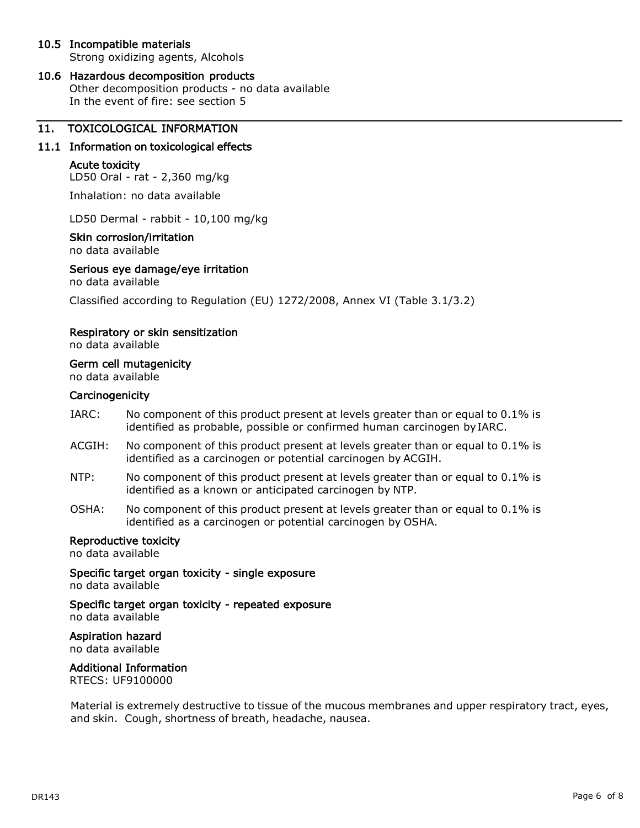# 10.5 Incompatible materials

Strong oxidizing agents, Alcohols

# 10.6 Hazardous decomposition products

Other decomposition products - no data available In the event of fire: see section 5

# 11. TOXICOLOGICAL INFORMATION

### 11.1 Information on toxicological effects

### Acute toxicity

LD50 Oral - rat - 2,360 mg/kg

Inhalation: no data available

LD50 Dermal - rabbit - 10,100 mg/kg

### Skin corrosion/irritation

no data available

### Serious eye damage/eye irritation

no data available

Classified according to Regulation (EU) 1272/2008, Annex VI (Table 3.1/3.2)

### Respiratory or skin sensitization

no data available

# Germ cell mutagenicity

no data available

### **Carcinogenicity**

- IARC: No component of this product present at levels greater than or equal to 0.1% is identified as probable, possible or confirmed human carcinogen byIARC.
- ACGIH: No component of this product present at levels greater than or equal to 0.1% is identified as a carcinogen or potential carcinogen by ACGIH.
- NTP: No component of this product present at levels greater than or equal to 0.1% is identified as a known or anticipated carcinogen by NTP.
- OSHA: No component of this product present at levels greater than or equal to 0.1% is identified as a carcinogen or potential carcinogen by OSHA.

## Reproductive toxicity

no data available

Specific target organ toxicity - single exposure

no data available

Specific target organ toxicity - repeated exposure no data available

# Aspiration hazard

no data available

### Additional Information

RTECS: UF9100000

Material is extremely destructive to tissue of the mucous membranes and upper respiratory tract, eyes, and skin. Cough, shortness of breath, headache, nausea.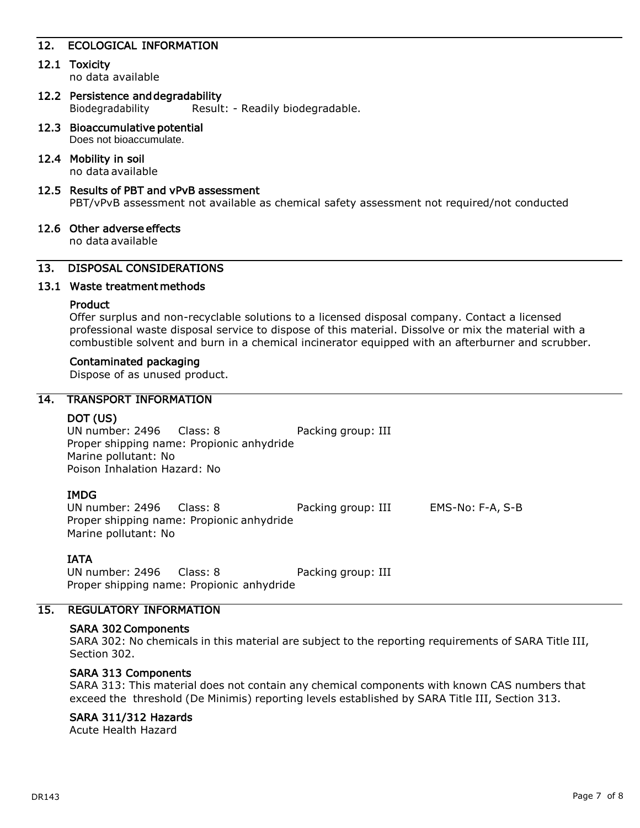# 12. ECOLOGICAL INFORMATION

### 12.1 Toxicity

no data available

- 12.2 Persistence and degradability Biodegradability Result: - Readily biodegradable.
- 12.3 Bioaccumulative potential Does not bioaccumulate.

### 12.4 Mobility in soil

no data available

### 12.5 Results of PBT and vPvB assessment

PBT/vPvB assessment not available as chemical safety assessment not required/not conducted

### 12.6 Other adverse effects

no data available

# 13. DISPOSAL CONSIDERATIONS

### 13.1 Waste treatment methods

### Product

Offer surplus and non-recyclable solutions to a licensed disposal company. Contact a licensed professional waste disposal service to dispose of this material. Dissolve or mix the material with a combustible solvent and burn in a chemical incinerator equipped with an afterburner and scrubber.

#### Contaminated packaging

Dispose of as unused product.

## 14. TRANSPORT INFORMATION

### DOT (US)

UN number: 2496 Class: 8 Packing group: III Proper shipping name: Propionic anhydride Marine pollutant: No Poison Inhalation Hazard: No

### IMDG

UN number: 2496 Class: 8 Packing group: III EMS-No: F-A, S-B Proper shipping name: Propionic anhydride Marine pollutant: No

### IATA

UN number: 2496 Class: 8 Packing group: III Proper shipping name: Propionic anhydride

# 15. REGULATORY INFORMATION

### SARA 302 Components

SARA 302: No chemicals in this material are subject to the reporting requirements of SARA Title III, Section 302.

# SARA 313 Components

SARA 313: This material does not contain any chemical components with known CAS numbers that exceed the threshold (De Minimis) reporting levels established by SARA Title III, Section 313.

### SARA 311/312 Hazards

Acute Health Hazard